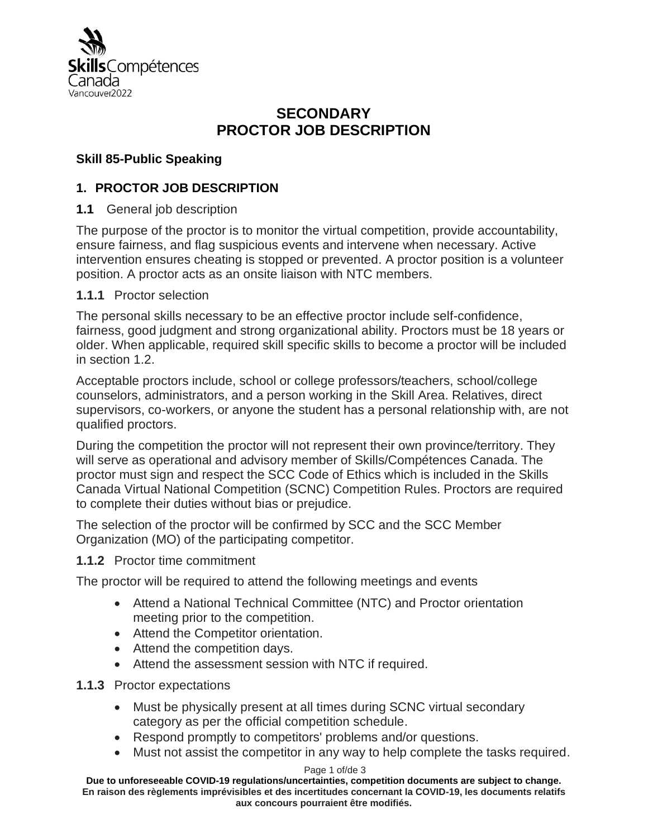

# **SECONDARY PROCTOR JOB DESCRIPTION**

# **Skill 85-Public Speaking**

# **1. PROCTOR JOB DESCRIPTION**

**1.1** General job description

The purpose of the proctor is to monitor the virtual competition, provide accountability, ensure fairness, and flag suspicious events and intervene when necessary. Active intervention ensures cheating is stopped or prevented. A proctor position is a volunteer position. A proctor acts as an onsite liaison with NTC members.

### **1.1.1** Proctor selection

The personal skills necessary to be an effective proctor include self-confidence, fairness, good judgment and strong organizational ability. Proctors must be 18 years or older. When applicable, required skill specific skills to become a proctor will be included in section 1.2.

Acceptable proctors include, school or college professors/teachers, school/college counselors, administrators, and a person working in the Skill Area. Relatives, direct supervisors, co-workers, or anyone the student has a personal relationship with, are not qualified proctors.

During the competition the proctor will not represent their own province/territory. They will serve as operational and advisory member of Skills/Compétences Canada. The proctor must sign and respect the SCC Code of Ethics which is included in the Skills Canada Virtual National Competition (SCNC) Competition Rules. Proctors are required to complete their duties without bias or prejudice.

The selection of the proctor will be confirmed by SCC and the SCC Member Organization (MO) of the participating competitor.

### **1.1.2** Proctor time commitment

The proctor will be required to attend the following meetings and events

- Attend a National Technical Committee (NTC) and Proctor orientation meeting prior to the competition.
- Attend the Competitor orientation.
- Attend the competition days.
- Attend the assessment session with NTC if required.

**1.1.3** Proctor expectations

- Must be physically present at all times during SCNC virtual secondary category as per the official competition schedule.
- Respond promptly to competitors' problems and/or questions.
- Must not assist the competitor in any way to help complete the tasks required.

#### Page 1 of/de 3

**Due to unforeseeable COVID-19 regulations/uncertainties, competition documents are subject to change. En raison des règlements imprévisibles et des incertitudes concernant la COVID-19, les documents relatifs aux concours pourraient être modifiés.**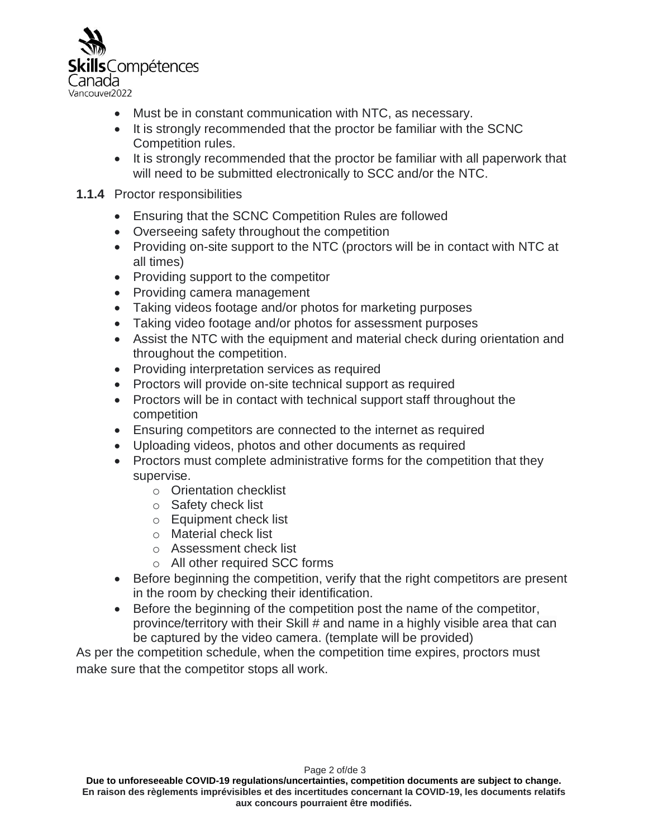

- Must be in constant communication with NTC, as necessary.
- It is strongly recommended that the proctor be familiar with the SCNC Competition rules.
- It is strongly recommended that the proctor be familiar with all paperwork that will need to be submitted electronically to SCC and/or the NTC.

#### **1.1.4** Proctor responsibilities

- Ensuring that the SCNC Competition Rules are followed
- Overseeing safety throughout the competition
- Providing on-site support to the NTC (proctors will be in contact with NTC at all times)
- Providing support to the competitor
- Providing camera management
- Taking videos footage and/or photos for marketing purposes
- Taking video footage and/or photos for assessment purposes
- Assist the NTC with the equipment and material check during orientation and throughout the competition.
- Providing interpretation services as required
- Proctors will provide on-site technical support as required
- Proctors will be in contact with technical support staff throughout the competition
- Ensuring competitors are connected to the internet as required
- Uploading videos, photos and other documents as required
- Proctors must complete administrative forms for the competition that they supervise.
	- o Orientation checklist
	- o Safety check list
	- o Equipment check list
	- o Material check list
	- o Assessment check list
	- o All other required SCC forms
- Before beginning the competition, verify that the right competitors are present in the room by checking their identification.
- Before the beginning of the competition post the name of the competitor, province/territory with their Skill # and name in a highly visible area that can be captured by the video camera. (template will be provided)

As per the competition schedule, when the competition time expires, proctors must make sure that the competitor stops all work.